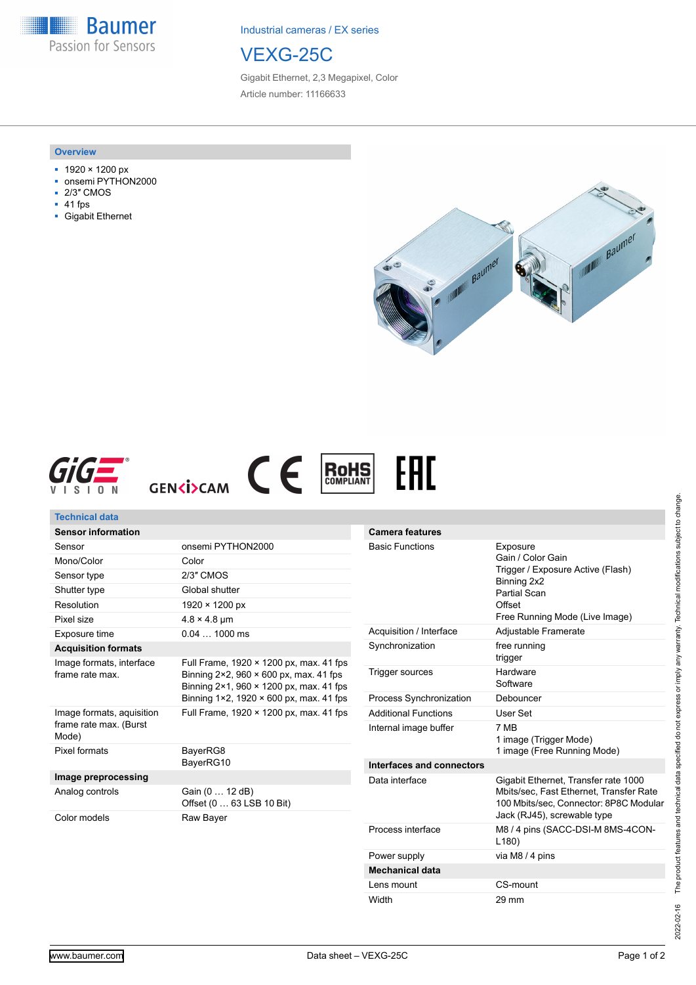**Baumer** Passion for Sensors

Industrial cameras / EX series

# VEXG-25C

Gigabit Ethernet, 2,3 Megapixel, Color Article number: 11166633

#### **Overview**

- 1920 × 1200 px
- onsemi PYTHON2000
- 2/3″ CMOS
- 41 fps
- Gigabit Ethernet







| <b>Technical data</b>                                        |                                                                                                                                                                                          |                             |                                                                                                                    |
|--------------------------------------------------------------|------------------------------------------------------------------------------------------------------------------------------------------------------------------------------------------|-----------------------------|--------------------------------------------------------------------------------------------------------------------|
| <b>Sensor information</b>                                    |                                                                                                                                                                                          | <b>Camera features</b>      |                                                                                                                    |
| Sensor                                                       | onsemi PYTHON2000                                                                                                                                                                        | <b>Basic Functions</b>      | Exposure<br>Gain / Color Gain<br>Trigger / Exposure Active (Flash)<br>Binning 2x2<br><b>Partial Scan</b><br>Offset |
| Mono/Color                                                   | Color                                                                                                                                                                                    |                             |                                                                                                                    |
| Sensor type                                                  | 2/3" CMOS                                                                                                                                                                                |                             |                                                                                                                    |
| Shutter type                                                 | Global shutter                                                                                                                                                                           |                             |                                                                                                                    |
| Resolution                                                   | 1920 × 1200 px                                                                                                                                                                           |                             |                                                                                                                    |
| Pixel size                                                   | $4.8 \times 4.8$ µm                                                                                                                                                                      |                             | Free Running Mode (Live Image)                                                                                     |
| Exposure time                                                | $0.041000$ ms                                                                                                                                                                            | Acquisition / Interface     | Adjustable Framerate                                                                                               |
| <b>Acquisition formats</b>                                   |                                                                                                                                                                                          | Synchronization             | free running<br>trigger                                                                                            |
| Image formats, interface<br>frame rate max.                  | Full Frame, 1920 × 1200 px, max. 41 fps<br>Binning $2 \times 2$ , 960 $\times$ 600 px, max. 41 fps<br>Binning 2×1, 960 × 1200 px, max. 41 fps<br>Binning 1×2, 1920 × 600 px, max. 41 fps | Trigger sources             | Hardware<br>Software                                                                                               |
|                                                              |                                                                                                                                                                                          | Process Synchronization     | Debouncer                                                                                                          |
| Image formats, aquisition<br>frame rate max. (Burst<br>Mode) | Full Frame, 1920 × 1200 px, max. 41 fps                                                                                                                                                  | <b>Additional Functions</b> | User Set                                                                                                           |
|                                                              |                                                                                                                                                                                          | Internal image buffer       | 7 MB<br>1 image (Trigger Mode)                                                                                     |
| Pixel formats                                                | BayerRG8<br>BayerRG10                                                                                                                                                                    |                             | 1 image (Free Running Mode)                                                                                        |
|                                                              |                                                                                                                                                                                          | Interfaces and connectors   |                                                                                                                    |
| Image preprocessing                                          |                                                                                                                                                                                          | Data interface              | Gigabit Ethernet, Transfer rate 1000                                                                               |
| Analog controls                                              | Gain (0  12 dB)<br>Offset (0  63 LSB 10 Bit)                                                                                                                                             |                             | Mbits/sec, Fast Ethernet, Transfer Rate<br>100 Mbits/sec, Connector: 8P8C Modular                                  |
| Color models                                                 | Raw Bayer                                                                                                                                                                                |                             | Jack (RJ45), screwable type                                                                                        |
|                                                              |                                                                                                                                                                                          | Process interface           | M8 / 4 pins (SACC-DSI-M 8MS-4CON-<br>L180                                                                          |
|                                                              |                                                                                                                                                                                          | Power supply                | via M8 / 4 pins                                                                                                    |

The product features and technical data specified do not express or imply any warranty. Technical modifications subject to change. 2022-02-16 The product features and technical data specified do not express or imply any warranty. Technical modifications subject to change. 2022-02-16

**Mechanical data**

Lens mount CS-mount Width 29 mm